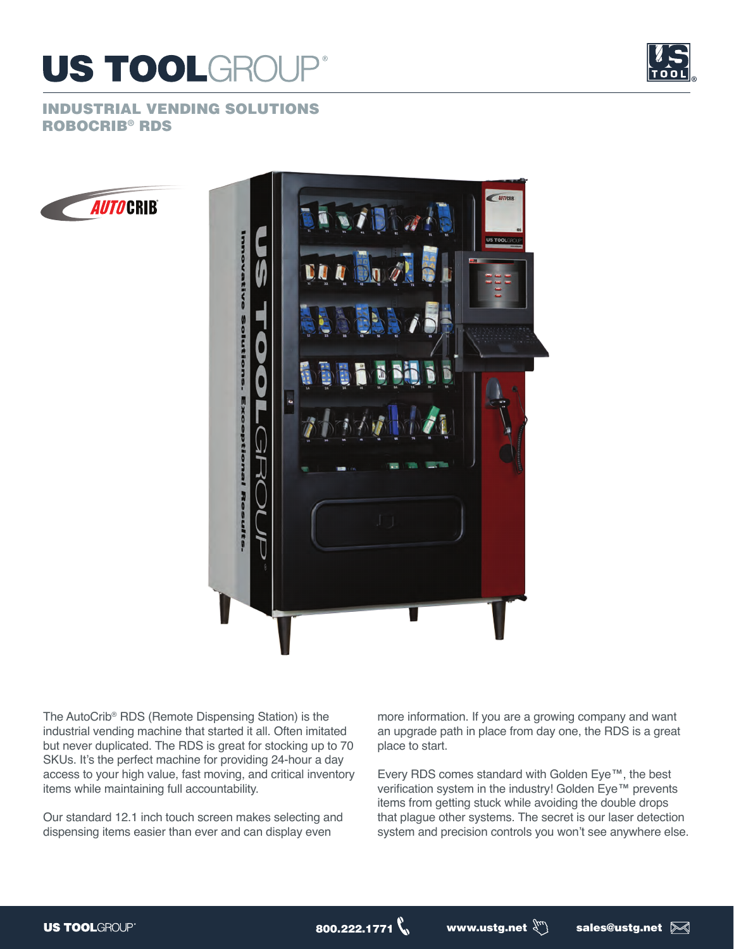



## INDUSTRIAL VENDING SOLUTIONS ROBOCRIB® RDS





The AutoCrib® RDS (Remote Dispensing Station) is the industrial vending machine that started it all. Often imitated but never duplicated. The RDS is great for stocking up to 70 SKUs. It's the perfect machine for providing 24-hour a day access to your high value, fast moving, and critical inventory items while maintaining full accountability.

Our standard 12.1 inch touch screen makes selecting and dispensing items easier than ever and can display even

more information. If you are a growing company and want an upgrade path in place from day one, the RDS is a great place to start.

Every RDS comes standard with Golden Eye™, the best verification system in the industry! Golden Eye™ prevents items from getting stuck while avoiding the double drops that plague other systems. The secret is our laser detection system and precision controls you won't see anywhere else.